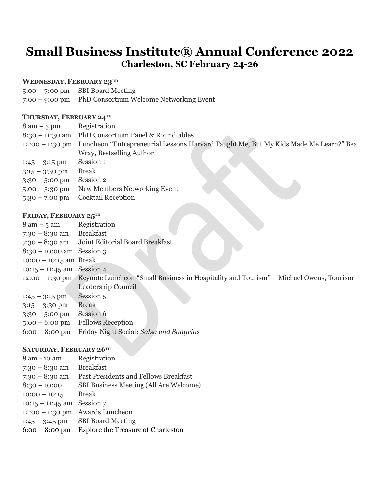# **Small Business Institute® Annual Conference 2022 Charleston, SC February 24-26**

## **WEDNESDAY, FEBRUARY 23RD**

5:00 – 7:00 pm SBI Board Meeting

7:00 – 9:00 pm PhD Consortium Welcome Networking Event

## **THURSDAY, FEBRUARY 24TH**

| $8 \text{ am} - 5 \text{ pm}$ | Registration                                                                                         |  |  |
|-------------------------------|------------------------------------------------------------------------------------------------------|--|--|
|                               | 8:30 - 11:30 am PhD Consortium Panel & Roundtables                                                   |  |  |
|                               | 12:00 - 1:30 pm Luncheon "Entrepreneurial Lessons Harvard Taught Me, But My Kids Made Me Learn?" Bea |  |  |
|                               | Wray, Bestselling Author                                                                             |  |  |
| $1:45 - 3:15$ pm              | Session 1                                                                                            |  |  |
| $3:15 - 3:30$ pm              | <b>Break</b>                                                                                         |  |  |
| $3:30 - 5:00$ pm              | Session 2                                                                                            |  |  |
| $5:00 - 5:30$ pm              | New Members Networking Event                                                                         |  |  |
| $5:30 - 7:00$ pm              | <b>Cocktail Reception</b>                                                                            |  |  |

## **FRIDAY, FEBRUARY 25TH**

| $8 \text{ am} - 5 \text{ am}$ | Registration                                                                                          |
|-------------------------------|-------------------------------------------------------------------------------------------------------|
| $7:30 - 8:30$ am              | <b>Breakfast</b>                                                                                      |
| $7:30 - 8:30$ am              | Joint Editorial Board Breakfast                                                                       |
| $8:30 - 10:00$ am Session 3   |                                                                                                       |
| $10:00 - 10:15$ am Break      |                                                                                                       |
| $10:15 - 11:45$ am Session 4  |                                                                                                       |
|                               | 12:00 – 1:30 pm Keynote Luncheon "Small Business in Hospitality and Tourism" – Michael Owens, Tourism |
|                               | Leadership Council                                                                                    |
| $1:45 - 3:15$ pm              | Session 5                                                                                             |
| $3:15 - 3:30$ pm              | <b>Break</b>                                                                                          |
| $3:30 - 5:00$ pm              | Session 6                                                                                             |
| $5:00 - 6:00 \text{ pm}$      | <b>Fellows Reception</b>                                                                              |
| $6:00 - 8:00 \text{ pm}$      | Friday Night Social: Salsa and Sangrias                                                               |
|                               |                                                                                                       |

## **SATURDAY, FEBRUARY 26TH**

| 8 am - 10 am             | Registration                              |
|--------------------------|-------------------------------------------|
| $7:30 - 8:30$ am         | <b>Breakfast</b>                          |
| $7:30 - 8:30$ am         | Past Presidents and Fellows Breakfast     |
| $8:30 - 10:00$           | SBI Business Meeting (All Are Welcome)    |
| $10:00 - 10:15$          | <b>Break</b>                              |
| $10:15 - 11:45$ am       | Session 7                                 |
| $12:00 - 1:30$ pm        | Awards Luncheon                           |
| $1:45 - 3:45$ pm         | <b>SBI Board Meeting</b>                  |
| $6:00 - 8:00 \text{ pm}$ | <b>Explore the Treasure of Charleston</b> |
|                          |                                           |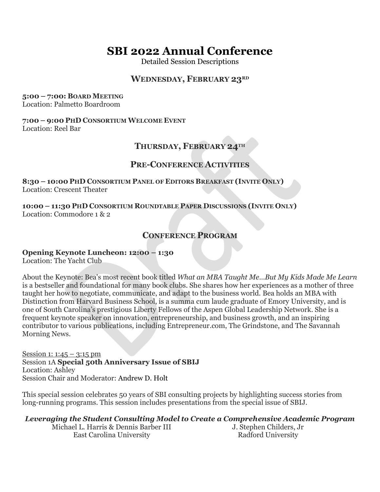# **SBI 2022 Annual Conference**

Detailed Session Descriptions

# **WEDNESDAY, FEBRUARY 23RD**

#### **5:00 – 7:00: BOARD MEETING**

Location: Palmetto Boardroom

## **7:00 – 9:00 PHD CONSORTIUM WELCOME EVENT**

Location: Reel Bar

# **THURSDAY, FEBRUARY 24TH**

# **PRE-CONFERENCE ACTIVITIES**

**8:30 – 10:00 PHD CONSORTIUM PANEL OF EDITORS BREAKFAST (INVITE ONLY)** Location: Crescent Theater

**10:00 – 11:30 PHD CONSORTIUM ROUNDTABLE PAPER DISCUSSIONS (INVITE ONLY)** Location: Commodore 1 & 2

# **CONFERENCE PROGRAM**

## **Opening Keynote Luncheon: 12:00 – 1:30**

Location: The Yacht Club

About the Keynote: Bea's most recent book titled *What an MBA Taught Me…But My Kids Made Me Learn* is a bestseller and foundational for many book clubs. She shares how her experiences as a mother of three taught her how to negotiate, communicate, and adapt to the business world. Bea holds an MBA with Distinction from Harvard Business School, is a summa cum laude graduate of Emory University, and is one of South Carolina's prestigious Liberty Fellows of the Aspen Global Leadership Network. She is a frequent keynote speaker on innovation, entrepreneurship, and business growth, and an inspiring contributor to various publications, including Entrepreneur.com, The Grindstone, and The Savannah Morning News.

Session 1:  $1:45 - 3:15$  pm Session 1A **Special 50th Anniversary Issue of SBIJ** Location: Ashley Session Chair and Moderator: Andrew D. Holt

This special session celebrates 50 years of SBI consulting projects by highlighting success stories from long-running programs. This session includes presentations from the special issue of SBIJ.

*Leveraging the Student Consulting Model to Create a Comprehensive Academic Program*

Michael L. Harris & Dennis Barber III East Carolina University

J. Stephen Childers, Jr Radford University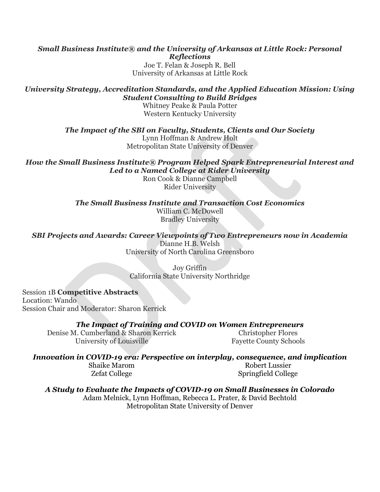### *Small Business Institute® and the University of Arkansas at Little Rock: Personal Reflections* Joe T. Felan & Joseph R. Bell University of Arkansas at Little Rock

## *University Strategy, Accreditation Standards, and the Applied Education Mission: Using Student Consulting to Build Bridges*

Whitney Peake & Paula Potter Western Kentucky University

*The Impact of the SBI on Faculty, Students, Clients and Our Society*

Lynn Hoffman & Andrew Holt Metropolitan State University of Denver

*How the Small Business Institute® Program Helped Spark Entrepreneurial Interest and Led to a Named College at Rider University*

Ron Cook & Dianne Campbell Rider University

*The Small Business Institute and Transaction Cost Economics* William C. McDowell Bradley University

*SBI Projects and Awards: Career Viewpoints of Two Entrepreneurs now in Academia* Dianne H.B. Welsh University of North Carolina Greensboro

> Joy Griffin California State University Northridge

Session 1B **Competitive Abstracts**  Location: Wando Session Chair and Moderator: Sharon Kerrick

*The Impact of Training and COVID on Women Entrepreneurs*

Denise M. Cumberland & Sharon Kerrick University of Louisville

Christopher Flores Fayette County Schools

# *Innovation in COVID-19 era: Perspective on interplay, consequence, and implication*

Shaike Marom Zefat College

Robert Lussier Springfield College

*A Study to Evaluate the Impacts of COVID-19 on Small Businesses in Colorado* Adam Melnick, Lynn Hoffman, Rebecca L. Prater, & David Bechtold Metropolitan State University of Denver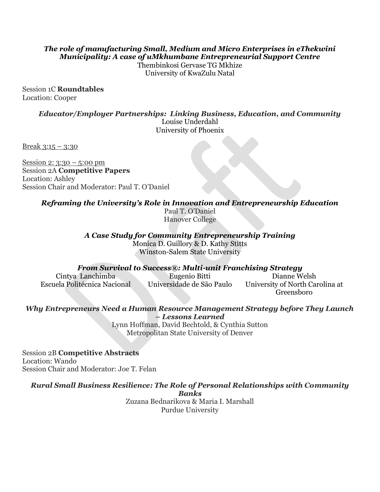# *The role of manufacturing Small, Medium and Micro Enterprises in eThekwini Municipality: A case of uMkhumbane Entrepreneurial Support Centre*

Thembinkosi Gervase TG Mkhize University of KwaZulu Natal

Session 1C **Roundtables** Location: Cooper

> *Educator/Employer Partnerships: Linking Business, Education, and Community* Louise Underdahl University of Phoenix

Break  $3:15 - 3:30$ 

Session 2: 3:30 – 5:00 pm Session 2A **Competitive Papers** Location: Ashley Session Chair and Moderator: Paul T. O'Daniel

*Reframing the University's Role in Innovation and Entrepreneurship Education*

Paul T. O'Daniel Hanover College

*A Case Study for Community Entrepreneurship Training*

Monica D. Guillory & D. Kathy Stitts Winston-Salem State University

*From Survival to Success®: Multi-unit Franchising Strategy*

Cintya Lanchimba Escuela Politécnica Nacional Eugenio Bitti Universidade de São Paulo Dianne Welsh University of North Carolina at Greensboro

*Why Entrepreneurs Need a Human Resource Management Strategy before They Launch – Lessons Learned*

> Lynn Hoffman, David Bechtold, & Cynthia Sutton Metropolitan State University of Denver

Session 2B **Competitive Abstracts** Location: Wando Session Chair and Moderator: Joe T. Felan

*Rural Small Business Resilience: The Role of Personal Relationships with Community* 

*Banks*

Zuzana Bednarikova & Maria I. Marshall Purdue University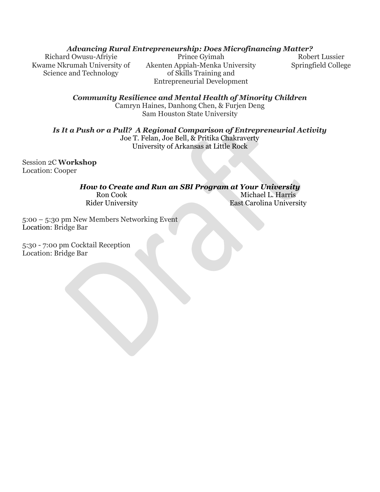## *Advancing Rural Entrepreneurship: Does Microfinancing Matter?*

Richard Owusu-Afriyie Kwame Nkrumah University of Science and Technology

Prince Gyimah Akenten Appiah-Menka University of Skills Training and Entrepreneurial Development

Robert Lussier Springfield College

*Community Resilience and Mental Health of Minority Children* Camryn Haines, Danhong Chen, & Furjen Deng Sam Houston State University

*Is It a Push or a Pull? A Regional Comparison of Entrepreneurial Activity*

Joe T. Felan, Joe Bell, & Pritika Chakraverty University of Arkansas at Little Rock

Session 2C **Workshop** Location: Cooper

## *How to Create and Run an SBI Program at Your University*

Ron Cook Rider University

Michael L. Harris East Carolina University

5:00 – 5:30 pm New Members Networking Event Location: Bridge Bar

5:30 - 7:00 pm Cocktail Reception Location: Bridge Bar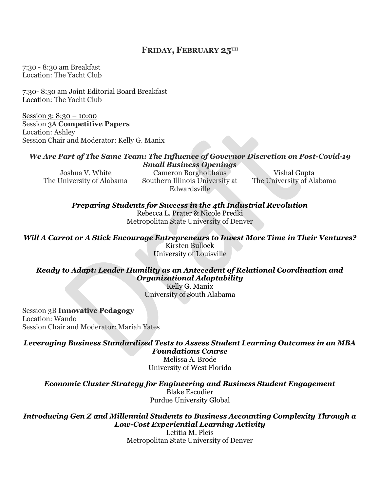## **FRIDAY, FEBRUARY 25TH**

7:30 - 8:30 am Breakfast Location: The Yacht Club

7:30- 8:30 am Joint Editorial Board Breakfast Location: The Yacht Club

Session 3: 8:30 – 10:00 Session 3A **Competitive Papers** Location: Ashley Session Chair and Moderator: Kelly G. Manix

#### *We Are Part of The Same Team: The Influence of Governor Discretion on Post-Covid-19 Small Business Openings*

Joshua V. White The University of Alabama

Cameron Borgholthaus Southern Illinois University at Edwardsville

Vishal Gupta The University of Alabama

*Preparing Students for Success in the 4th Industrial Revolution*

Rebecca L. Prater & Nicole Predki Metropolitan State University of Denver

*Will A Carrot or A Stick Encourage Entrepreneurs to Invest More Time in Their Ventures?* Kirsten Bullock University of Louisville

# *Ready to Adapt: Leader Humility as an Antecedent of Relational Coordination and Organizational Adaptability*

Kelly G. Manix University of South Alabama

Session 3B **Innovative Pedagogy** Location: Wando Session Chair and Moderator: Mariah Yates

*Leveraging Business Standardized Tests to Assess Student Learning Outcomes in an MBA Foundations Course*

Melissa A. Brode University of West Florida

*Economic Cluster Strategy for Engineering and Business Student Engagement* Blake Escudier Purdue University Global

## *Introducing Gen Z and Millennial Students to Business Accounting Complexity Through a Low-Cost Experiential Learning Activity*

Letitia M. Pleis Metropolitan State University of Denver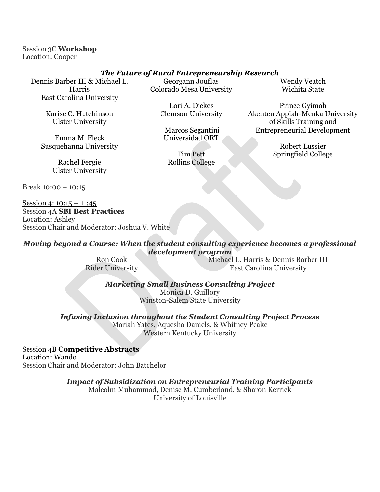Session 3C **Workshop** Location: Cooper

### *The Future of Rural Entrepreneurship Research*

Dennis Barber III & Michael L. Harris East Carolina University

> Karise C. Hutchinson Ulster University

Emma M. Fleck Susquehanna University

> Rachel Fergie Ulster University

Break 10:00 - 10:15

Session 4: 10:15 – 11:45 Session 4A **SBI Best Practices** Location: Ashley Session Chair and Moderator: Joshua V. White

Georgann Jouflas Colorado Mesa University

> Lori A. Dickes Clemson University

Marcos Segantini Universidad ORT

Tim Pett Rollins College Wendy Veatch Wichita State

Prince Gyimah Akenten Appiah-Menka University of Skills Training and Entrepreneurial Development

> Robert Lussier Springfield College

*Moving beyond a Course: When the student consulting experience becomes a professional development program*

Ron Cook Rider University Michael L. Harris & Dennis Barber III East Carolina University

*Marketing Small Business Consulting Project*

Monica D. Guillory Winston-Salem State University

*Infusing Inclusion throughout the Student Consulting Project Process*

Mariah Yates, Aquesha Daniels, & Whitney Peake Western Kentucky University

Session 4B **Competitive Abstracts** Location: Wando Session Chair and Moderator: John Batchelor

*Impact of Subsidization on Entrepreneurial Training Participants*

Malcolm Muhammad, Denise M. Cumberland, & Sharon Kerrick University of Louisville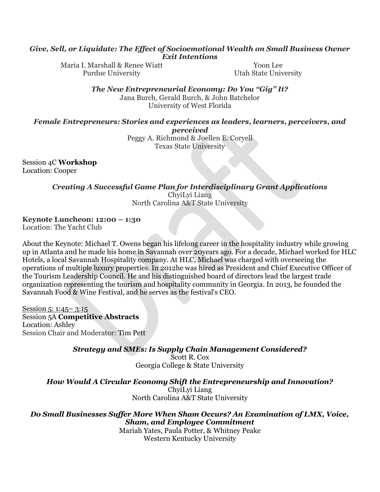#### *Give, Sell, or Liquidate: The Effect of Socioemotional Wealth on Small Business Owner Exit Intentions*

Maria I. Marshall & Renee Wiatt Purdue University

Yoon Lee Utah State University

*The New Entrepreneurial Economy: Do You "Gig" It?* Jana Burch, Gerald Burch, & John Batchelor

University of West Florida

#### *Female Entrepreneurs: Stories and experiences as leaders, learners, perceivers, and perceived*

Peggy A. Richmond & Joellen E. Coryell Texas State University

Session 4C **Workshop** Location: Cooper

*Creating A Successful Game Plan for Interdisciplinary Grant Applications*

ChyiLyi Liang North Carolina A&T State University

**Keynote Luncheon: 12:00 – 1:30**

Location: The Yacht Club

About the Keynote: Michael T. Owens began his lifelong career in the hospitality industry while growing up in Atlanta and he made his home in Savannah over 20years ago. For a decade, Michael worked for HLC Hotels, a local Savannah Hospitality company. At HLC, Michael was charged with overseeing the operations of multiple luxury properties. In 2012he was hired as President and Chief Executive Officer of the Tourism Leadership Council. He and his distinguished board of directors lead the largest trade organization representing the tourism and hospitality community in Georgia. In 2013, he founded the Savannah Food & Wine Festival, and he serves as the festival's CEO.

Session 5: 1:45– 3:15 Session 5A **Competitive Abstracts** Location: Ashley Session Chair and Moderator: Tim Pett

*Strategy and SMEs: Is Supply Chain Management Considered?*

Scott R. Cox Georgia College & State University

*How Would A Circular Economy Shift the Entrepreneurship and Innovation?*

ChyiLyi Liang North Carolina A&T State University

## *Do Small Businesses Suffer More When Sham Occurs? An Examination of LMX, Voice, Sham, and Employee Commitment*

Mariah Yates, Paula Potter, & Whitney Peake Western Kentucky University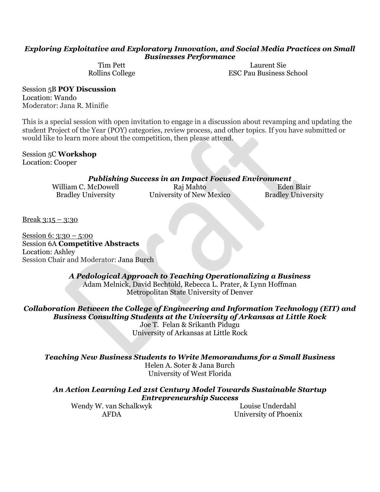### *Exploring Exploitative and Exploratory Innovation, and Social Media Practices on Small Businesses Performance*

Tim Pett Rollins College

Laurent Sie ESC Pau Business School

Session 5B **POY Discussion** Location: Wando Moderator: Jana R. Minifie

This is a special session with open invitation to engage in a discussion about revamping and updating the student Project of the Year (POY) categories, review process, and other topics. If you have submitted or would like to learn more about the competition, then please attend.

Session 5C **Workshop** Location: Cooper

| <b>Publishing Success in an Impact Focused Environment</b> |                          |                           |  |  |  |
|------------------------------------------------------------|--------------------------|---------------------------|--|--|--|
| William C. McDowell                                        | Raj Mahto                | Eden Blair                |  |  |  |
| <b>Bradley University</b>                                  | University of New Mexico | <b>Bradley University</b> |  |  |  |

Break 3:15 – 3:30

Session 6: 3:30 – 5:00 Session 6A **Competitive Abstracts** Location: Ashley Session Chair and Moderator: Jana Burch

> *A Pedological Approach to Teaching Operationalizing a Business* Adam Melnick, David Bechtold, Rebecca L. Prater, & Lynn Hoffman Metropolitan State University of Denver

*Collaboration Between the College of Engineering and Information Technology (EIT) and Business Consulting Students at the University of Arkansas at Little Rock* Joe T. Felan & Srikanth Pidugu

University of Arkansas at Little Rock

*Teaching New Business Students to Write Memorandums for a Small Business* Helen A. Soter & Jana Burch University of West Florida

*An Action Learning Led 21st Century Model Towards Sustainable Startup Entrepreneurship Success*

Wendy W. van Schalkwyk AFDA

Louise Underdahl University of Phoenix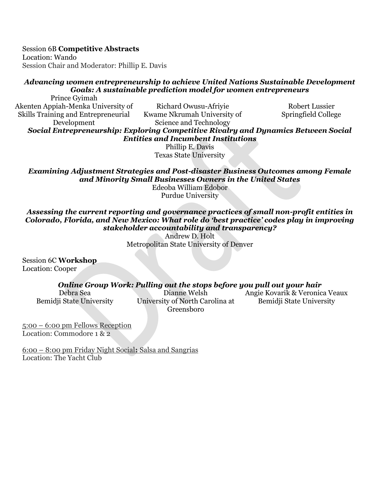Session 6B **Competitive Abstracts**

Location: Wando Session Chair and Moderator: Phillip E. Davis

# *Advancing women entrepreneurship to achieve United Nations Sustainable Development Goals: A sustainable prediction model for women entrepreneurs*

Prince Gyimah Akenten Appiah-Menka University of Skills Training and Entrepreneurial Development

Richard Owusu-Afriyie Kwame Nkrumah University of Science and Technology

Robert Lussier Springfield College

*Social Entrepreneurship: Exploring Competitive Rivalry and Dynamics Between Social Entities and Incumbent Institutions*

Phillip E. Davis Texas State University

*Examining Adjustment Strategies and Post-disaster Business Outcomes among Female and Minority Small Businesses Owners in the United States*

Edeoba William Edobor Purdue University

*Assessing the current reporting and governance practices of small non-profit entities in Colorado, Florida, and New Mexico: What role do 'best practice' codes play in improving stakeholder accountability and transparency?*

Andrew D. Holt Metropolitan State University of Denver

Session 6C **Workshop** Location: Cooper

## *Online Group Work: Pulling out the stops before you pull out your hair*

Debra Sea Bemidji State University

Dianne Welsh University of North Carolina at Greensboro

Angie Kovarik & Veronica Veaux Bemidji State University

5:00 – 6:00 pm Fellows Reception Location: Commodore 1 & 2

6:00 – 8:00 pm Friday Night Social**:** Salsa and Sangrias Location: The Yacht Club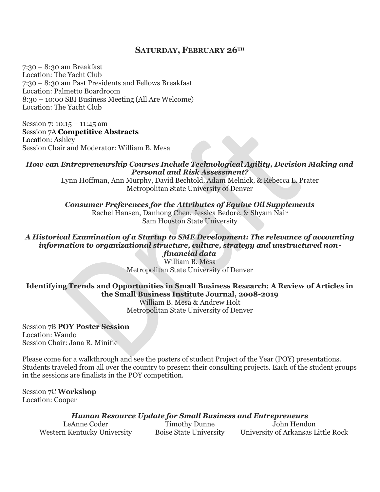## **SATURDAY, FEBRUARY 26TH**

7:30 – 8:30 am Breakfast Location: The Yacht Club 7:30 – 8:30 am Past Presidents and Fellows Breakfast Location: Palmetto Boardroom 8:30 – 10:00 SBI Business Meeting (All Are Welcome) Location: The Yacht Club

Session 7: 10:15 – 11:45 am Session 7A **Competitive Abstracts** Location: Ashley Session Chair and Moderator: William B. Mesa

### *How can Entrepreneurship Courses Include Technological Agility, Decision Making and Personal and Risk Assessment?*

Lynn Hoffman, Ann Murphy, David Bechtold, Adam Melnick, & Rebecca L. Prater Metropolitan State University of Denver

*Consumer Preferences for the Attributes of Equine Oil Supplements* Rachel Hansen, Danhong Chen, Jessica Bedore, & Shyam Nair Sam Houston State University

#### *A Historical Examination of a Startup to SME Development: The relevance of accounting information to organizational structure, culture, strategy and unstructured nonfinancial data*

William B. Mesa Metropolitan State University of Denver

# **Identifying Trends and Opportunities in Small Business Research: A Review of Articles in the Small Business Institute Journal, 2008-2019**

William B. Mesa & Andrew Holt Metropolitan State University of Denver

Session 7B **POY Poster Session** Location: Wando Session Chair: Jana R. Minifie

Please come for a walkthrough and see the posters of student Project of the Year (POY) presentations. Students traveled from all over the country to present their consulting projects. Each of the student groups in the sessions are finalists in the POY competition.

Session 7C **Workshop** Location: Cooper

*Human Resource Update for Small Business and Entrepreneurs*

| LeAnne Coder                | <b>Timothy Dunne</b>          | John Hendon                        |
|-----------------------------|-------------------------------|------------------------------------|
| Western Kentucky University | <b>Boise State University</b> | University of Arkansas Little Rock |